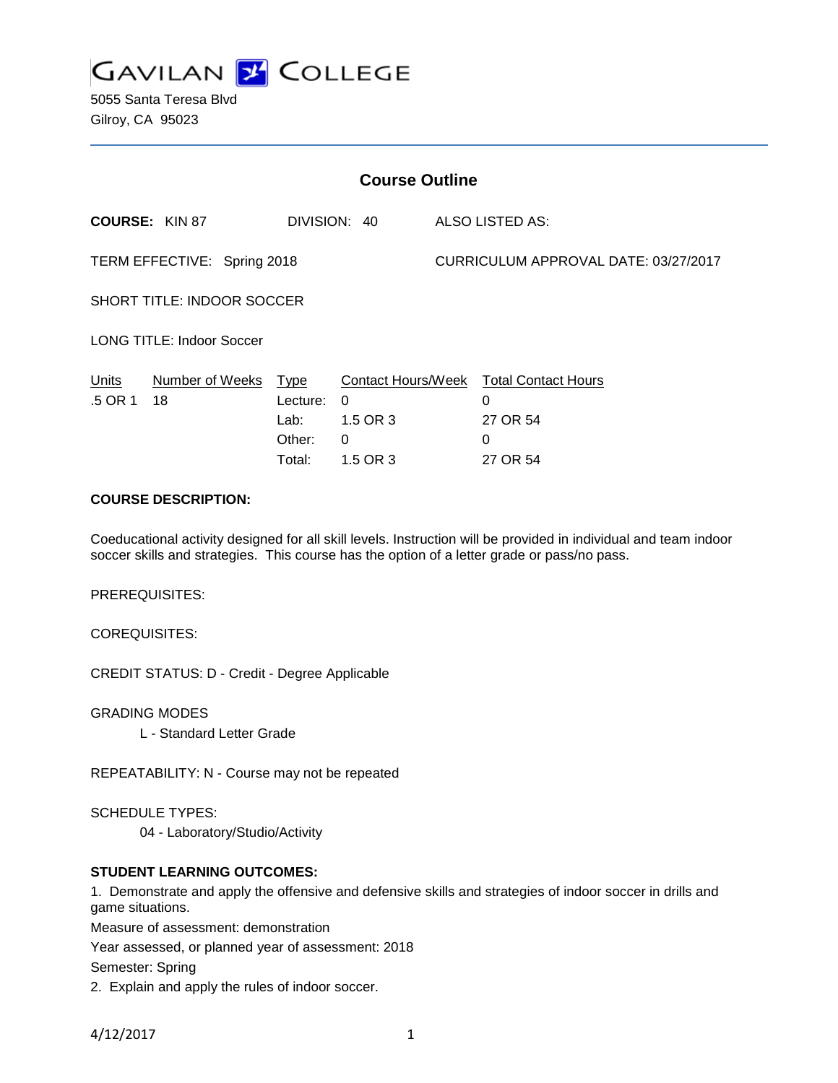

5055 Santa Teresa Blvd Gilroy, CA 95023

| <b>Course Outline</b>             |                       |                                                     |                                                      |                                      |                                                              |
|-----------------------------------|-----------------------|-----------------------------------------------------|------------------------------------------------------|--------------------------------------|--------------------------------------------------------------|
|                                   | <b>COURSE: KIN 87</b> |                                                     | DIVISION: 40                                         |                                      | ALSO LISTED AS:                                              |
| TERM EFFECTIVE: Spring 2018       |                       |                                                     |                                                      | CURRICULUM APPROVAL DATE: 03/27/2017 |                                                              |
| <b>SHORT TITLE: INDOOR SOCCER</b> |                       |                                                     |                                                      |                                      |                                                              |
| <b>LONG TITLE: Indoor Soccer</b>  |                       |                                                     |                                                      |                                      |                                                              |
| Units<br>.5 OR 1                  | Number of Weeks<br>18 | <u>Type</u><br>Lecture:<br>Lab:<br>Other:<br>Total: | Contact Hours/Week<br>0<br>1.5 OR 3<br>0<br>1.5 OR 3 |                                      | <b>Total Contact Hours</b><br>0<br>27 OR 54<br>0<br>27 OR 54 |

## **COURSE DESCRIPTION:**

Coeducational activity designed for all skill levels. Instruction will be provided in individual and team indoor soccer skills and strategies. This course has the option of a letter grade or pass/no pass.

PREREQUISITES:

COREQUISITES:

CREDIT STATUS: D - Credit - Degree Applicable

GRADING MODES

L - Standard Letter Grade

REPEATABILITY: N - Course may not be repeated

SCHEDULE TYPES:

04 - Laboratory/Studio/Activity

## **STUDENT LEARNING OUTCOMES:**

1. Demonstrate and apply the offensive and defensive skills and strategies of indoor soccer in drills and game situations.

Measure of assessment: demonstration

Year assessed, or planned year of assessment: 2018

Semester: Spring

2. Explain and apply the rules of indoor soccer.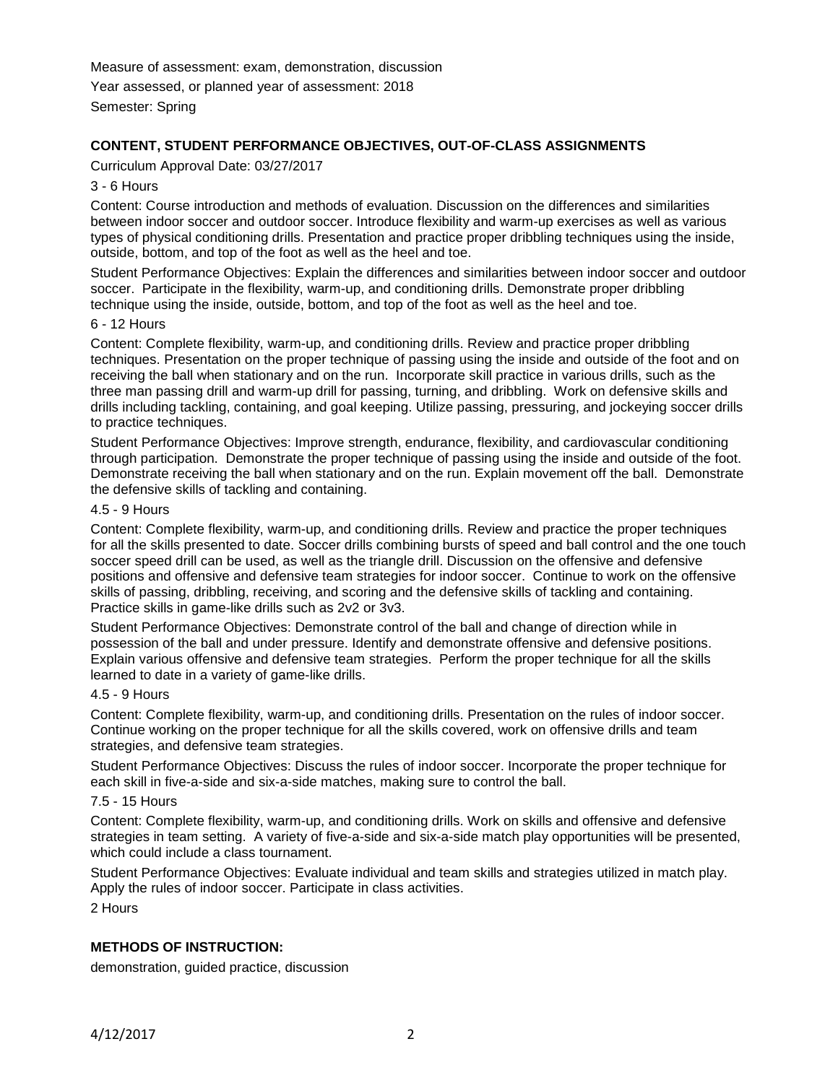Measure of assessment: exam, demonstration, discussion Year assessed, or planned year of assessment: 2018 Semester: Spring

## **CONTENT, STUDENT PERFORMANCE OBJECTIVES, OUT-OF-CLASS ASSIGNMENTS**

Curriculum Approval Date: 03/27/2017

#### 3 - 6 Hours

Content: Course introduction and methods of evaluation. Discussion on the differences and similarities between indoor soccer and outdoor soccer. Introduce flexibility and warm-up exercises as well as various types of physical conditioning drills. Presentation and practice proper dribbling techniques using the inside, outside, bottom, and top of the foot as well as the heel and toe.

Student Performance Objectives: Explain the differences and similarities between indoor soccer and outdoor soccer. Participate in the flexibility, warm-up, and conditioning drills. Demonstrate proper dribbling technique using the inside, outside, bottom, and top of the foot as well as the heel and toe.

#### 6 - 12 Hours

Content: Complete flexibility, warm-up, and conditioning drills. Review and practice proper dribbling techniques. Presentation on the proper technique of passing using the inside and outside of the foot and on receiving the ball when stationary and on the run. Incorporate skill practice in various drills, such as the three man passing drill and warm-up drill for passing, turning, and dribbling. Work on defensive skills and drills including tackling, containing, and goal keeping. Utilize passing, pressuring, and jockeying soccer drills to practice techniques.

Student Performance Objectives: Improve strength, endurance, flexibility, and cardiovascular conditioning through participation. Demonstrate the proper technique of passing using the inside and outside of the foot. Demonstrate receiving the ball when stationary and on the run. Explain movement off the ball. Demonstrate the defensive skills of tackling and containing.

#### 4.5 - 9 Hours

Content: Complete flexibility, warm-up, and conditioning drills. Review and practice the proper techniques for all the skills presented to date. Soccer drills combining bursts of speed and ball control and the one touch soccer speed drill can be used, as well as the triangle drill. Discussion on the offensive and defensive positions and offensive and defensive team strategies for indoor soccer. Continue to work on the offensive skills of passing, dribbling, receiving, and scoring and the defensive skills of tackling and containing. Practice skills in game-like drills such as 2v2 or 3v3.

Student Performance Objectives: Demonstrate control of the ball and change of direction while in possession of the ball and under pressure. Identify and demonstrate offensive and defensive positions. Explain various offensive and defensive team strategies. Perform the proper technique for all the skills learned to date in a variety of game-like drills.

#### 4.5 - 9 Hours

Content: Complete flexibility, warm-up, and conditioning drills. Presentation on the rules of indoor soccer. Continue working on the proper technique for all the skills covered, work on offensive drills and team strategies, and defensive team strategies.

Student Performance Objectives: Discuss the rules of indoor soccer. Incorporate the proper technique for each skill in five-a-side and six-a-side matches, making sure to control the ball.

#### 7.5 - 15 Hours

Content: Complete flexibility, warm-up, and conditioning drills. Work on skills and offensive and defensive strategies in team setting. A variety of five-a-side and six-a-side match play opportunities will be presented, which could include a class tournament.

Student Performance Objectives: Evaluate individual and team skills and strategies utilized in match play. Apply the rules of indoor soccer. Participate in class activities.

2 Hours

### **METHODS OF INSTRUCTION:**

demonstration, guided practice, discussion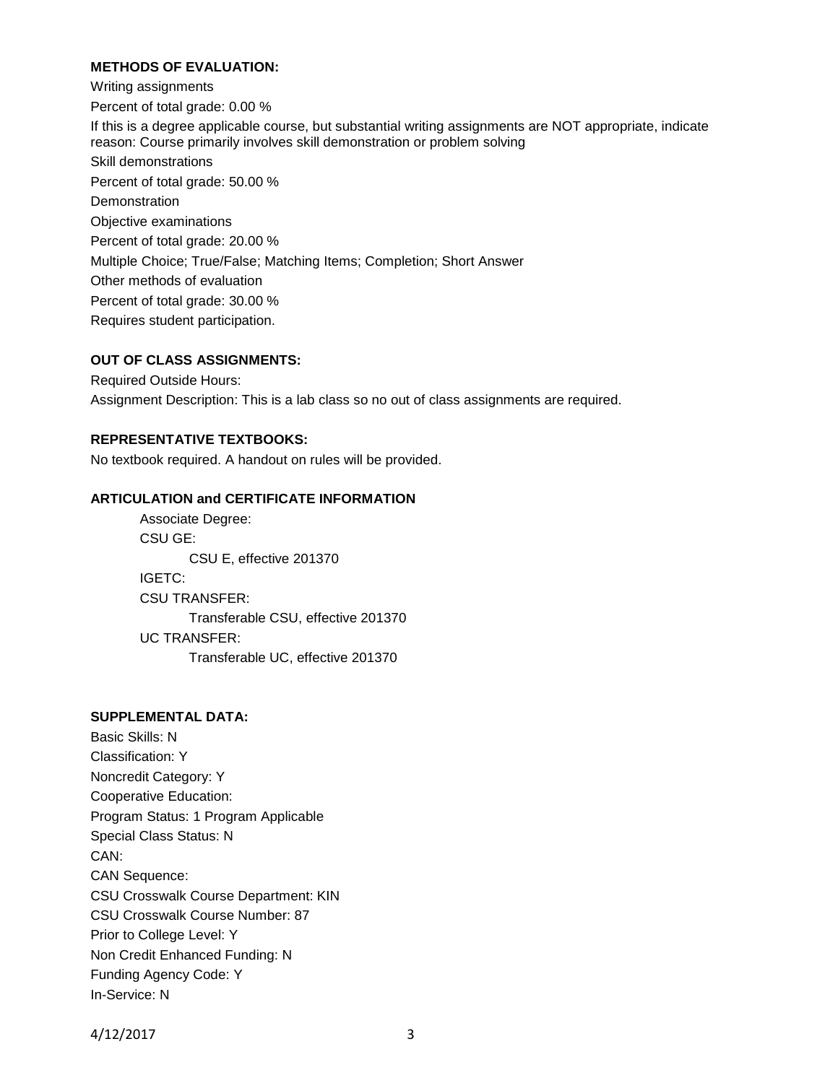## **METHODS OF EVALUATION:**

Writing assignments Percent of total grade: 0.00 % If this is a degree applicable course, but substantial writing assignments are NOT appropriate, indicate reason: Course primarily involves skill demonstration or problem solving Skill demonstrations Percent of total grade: 50.00 % **Demonstration** Objective examinations Percent of total grade: 20.00 % Multiple Choice; True/False; Matching Items; Completion; Short Answer Other methods of evaluation Percent of total grade: 30.00 % Requires student participation.

### **OUT OF CLASS ASSIGNMENTS:**

Required Outside Hours: Assignment Description: This is a lab class so no out of class assignments are required.

### **REPRESENTATIVE TEXTBOOKS:**

No textbook required. A handout on rules will be provided.

### **ARTICULATION and CERTIFICATE INFORMATION**

Associate Degree: CSU GE: CSU E, effective 201370 IGETC: CSU TRANSFER: Transferable CSU, effective 201370 UC TRANSFER: Transferable UC, effective 201370

# **SUPPLEMENTAL DATA:**

Basic Skills: N Classification: Y Noncredit Category: Y Cooperative Education: Program Status: 1 Program Applicable Special Class Status: N CAN: CAN Sequence: CSU Crosswalk Course Department: KIN CSU Crosswalk Course Number: 87 Prior to College Level: Y Non Credit Enhanced Funding: N Funding Agency Code: Y In-Service: N

4/12/2017 3